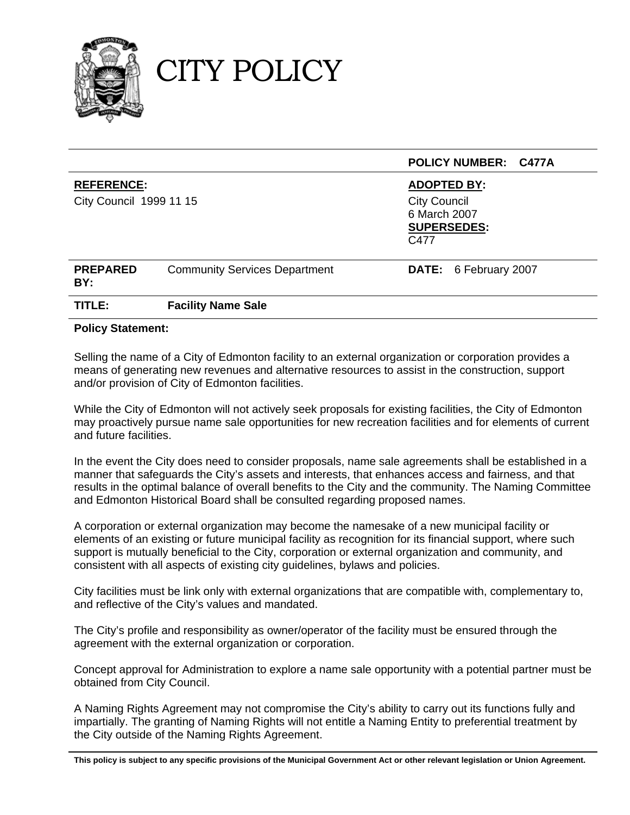

CITY POLICY

|                                              |                                      | <b>POLICY NUMBER: C477A</b>                                                             |  |
|----------------------------------------------|--------------------------------------|-----------------------------------------------------------------------------------------|--|
| <b>REFERENCE:</b><br>City Council 1999 11 15 |                                      | <b>ADOPTED BY:</b><br><b>City Council</b><br>6 March 2007<br><b>SUPERSEDES:</b><br>C477 |  |
| <b>PREPARED</b><br>BY:                       | <b>Community Services Department</b> | DATE: 6 February 2007                                                                   |  |
| TITLE:                                       | <b>Facility Name Sale</b>            |                                                                                         |  |

### **Policy Statement:**

Selling the name of a City of Edmonton facility to an external organization or corporation provides a means of generating new revenues and alternative resources to assist in the construction, support and/or provision of City of Edmonton facilities.

While the City of Edmonton will not actively seek proposals for existing facilities, the City of Edmonton may proactively pursue name sale opportunities for new recreation facilities and for elements of current and future facilities.

In the event the City does need to consider proposals, name sale agreements shall be established in a manner that safeguards the City's assets and interests, that enhances access and fairness, and that results in the optimal balance of overall benefits to the City and the community. The Naming Committee and Edmonton Historical Board shall be consulted regarding proposed names.

A corporation or external organization may become the namesake of a new municipal facility or elements of an existing or future municipal facility as recognition for its financial support, where such support is mutually beneficial to the City, corporation or external organization and community, and consistent with all aspects of existing city guidelines, bylaws and policies.

City facilities must be link only with external organizations that are compatible with, complementary to, and reflective of the City's values and mandated.

The City's profile and responsibility as owner/operator of the facility must be ensured through the agreement with the external organization or corporation.

Concept approval for Administration to explore a name sale opportunity with a potential partner must be obtained from City Council.

A Naming Rights Agreement may not compromise the City's ability to carry out its functions fully and impartially. The granting of Naming Rights will not entitle a Naming Entity to preferential treatment by the City outside of the Naming Rights Agreement.

**This policy is subject to any specific provisions of the Municipal Government Act or other relevant legislation or Union Agreement.**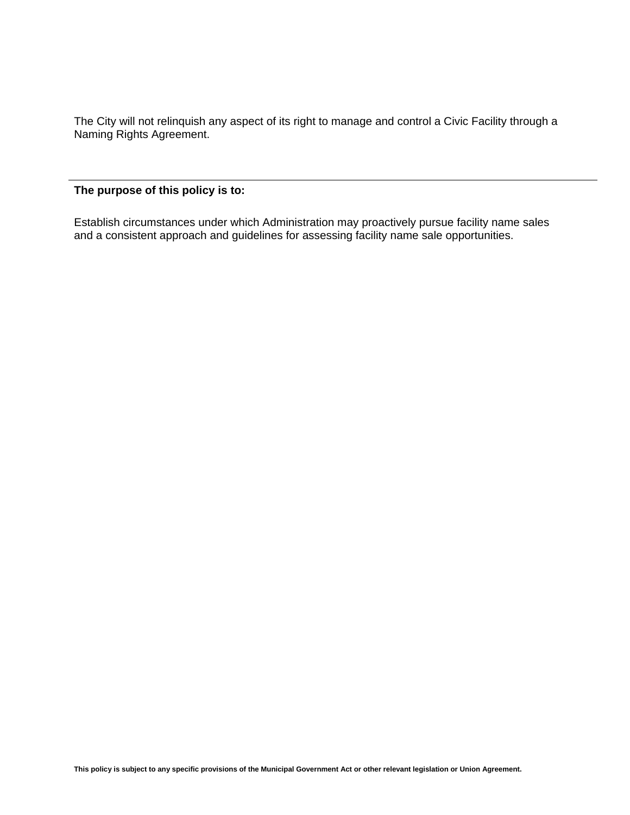The City will not relinquish any aspect of its right to manage and control a Civic Facility through a Naming Rights Agreement.

# **The purpose of this policy is to:**

Establish circumstances under which Administration may proactively pursue facility name sales and a consistent approach and guidelines for assessing facility name sale opportunities.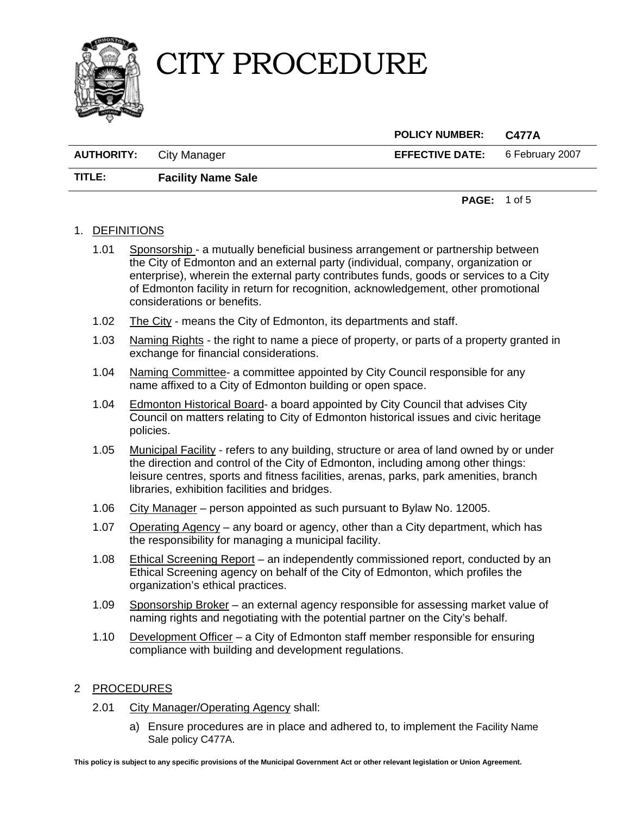



 **POLICY NUMBER: C477A AUTHORITY:** City Manager **EFFECTIVE DATE:** 6 February 2007 **TITLE: Facility Name Sale** 

**PAGE:** 1 of 5

### 1. DEFINITIONS

- 1.01 Sponsorship a mutually beneficial business arrangement or partnership between the City of Edmonton and an external party (individual, company, organization or enterprise), wherein the external party contributes funds, goods or services to a City of Edmonton facility in return for recognition, acknowledgement, other promotional considerations or benefits.
- 1.02 The City means the City of Edmonton, its departments and staff.
- 1.03Naming Rights the right to name a piece of property, or parts of a property granted in exchange for financial considerations.
- 1.04 Naming Committee- a committee appointed by City Council responsible for any name affixed to a City of Edmonton building or open space.
- 1.04 Edmonton Historical Board- a board appointed by City Council that advises City Council on matters relating to City of Edmonton historical issues and civic heritage policies.
- 1.05 Municipal Facility refers to any building, structure or area of land owned by or under the direction and control of the City of Edmonton, including among other things: leisure centres, sports and fitness facilities, arenas, parks, park amenities, branch libraries, exhibition facilities and bridges.
- 1.06 City Manager person appointed as such pursuant to Bylaw No. 12005.
- 1.07 Operating Agency any board or agency, other than a City department, which has the responsibility for managing a municipal facility.
- 1.08 Ethical Screening Report an independently commissioned report, conducted by an Ethical Screening agency on behalf of the City of Edmonton, which profiles the organization's ethical practices.
- 1.09 Sponsorship Broker an external agency responsible for assessing market value of naming rights and negotiating with the potential partner on the City's behalf.
- 1.10 Development Officer a City of Edmonton staff member responsible for ensuring compliance with building and development regulations.

#### 2 PROCEDURES

- 2.01 City Manager/Operating Agency shall:
	- a) Ensure procedures are in place and adhered to, to implement the Facility Name Sale policy C477A.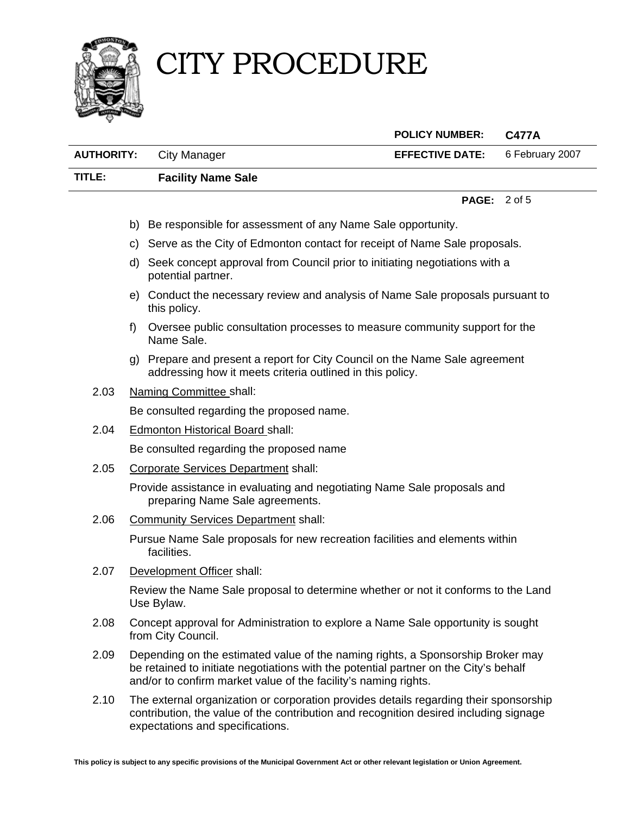

# CITY PROCEDURE

|                   |                                                                                                     | <b>POLICY NUMBER:</b>          | <b>C477A</b>    |
|-------------------|-----------------------------------------------------------------------------------------------------|--------------------------------|-----------------|
| <b>AUTHORITY:</b> | City Manager                                                                                        | <b>EFFECTIVE DATE:</b>         | 6 February 2007 |
| TITLE:            | <b>Facility Name Sale</b>                                                                           |                                |                 |
|                   |                                                                                                     | <b>PAGE:</b> $2 \text{ of } 5$ |                 |
|                   | b) Be responsible for assessment of any Name Sale opportunity.                                      |                                |                 |
|                   | c) Serve as the City of Edmonton contact for receipt of Name Sale proposals.                        |                                |                 |
|                   | d) Seek concept approval from Council prior to initiating negotiations with a<br>potential partner. |                                |                 |
|                   | e) Conduct the necessary review and analysis of Name Sale proposals pursuant to<br>this policy.     |                                |                 |
| T)                | Oversee public consultation processes to measure community support for the                          |                                |                 |

- g) Prepare and present a report for City Council on the Name Sale agreement addressing how it meets criteria outlined in this policy.
- 2.03 Naming Committee shall:

Name Sale.

Be consulted regarding the proposed name.

2.04 Edmonton Historical Board shall:

Be consulted regarding the proposed name

2.05 Corporate Services Department shall:

Provide assistance in evaluating and negotiating Name Sale proposals and preparing Name Sale agreements.

2.06 Community Services Department shall:

Pursue Name Sale proposals for new recreation facilities and elements within facilities.

2.07 Development Officer shall:

Review the Name Sale proposal to determine whether or not it conforms to the Land Use Bylaw.

- 2.08 Concept approval for Administration to explore a Name Sale opportunity is sought from City Council.
- 2.09 Depending on the estimated value of the naming rights, a Sponsorship Broker may be retained to initiate negotiations with the potential partner on the City's behalf and/or to confirm market value of the facility's naming rights.
- 2.10 The external organization or corporation provides details regarding their sponsorship contribution, the value of the contribution and recognition desired including signage expectations and specifications.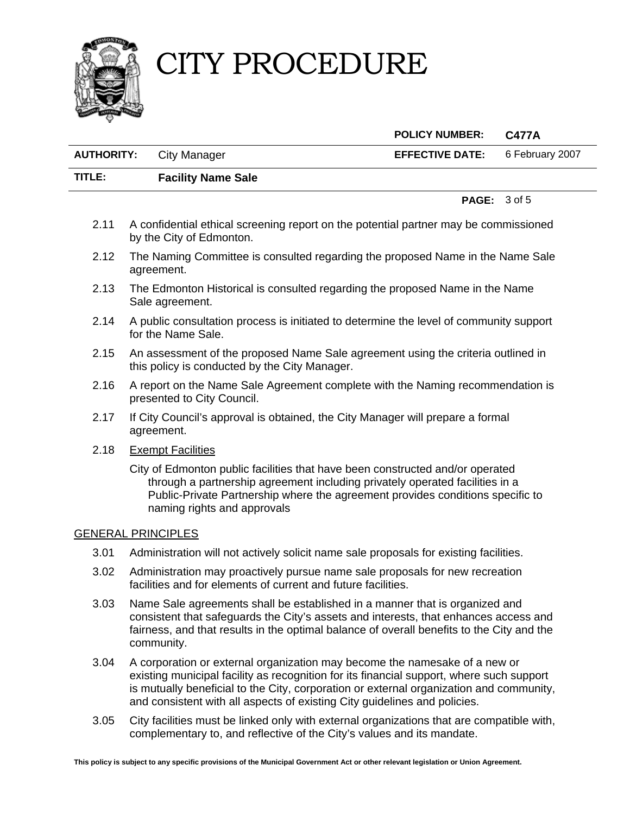# CITY PROCEDURE



# **POLICY NUMBER: C477A**

| <b>AUTHORITY:</b> City Manager | <b>EFFECTIVE DATE:</b> 6 February 2007 |  |
|--------------------------------|----------------------------------------|--|
|                                |                                        |  |

## **TITLE: Facility Name Sale**

**PAGE:** 3 of 5

- 2.11 A confidential ethical screening report on the potential partner may be commissioned by the City of Edmonton.
- 2.12 The Naming Committee is consulted regarding the proposed Name in the Name Sale agreement.
- 2.13 The Edmonton Historical is consulted regarding the proposed Name in the Name Sale agreement.
- 2.14 A public consultation process is initiated to determine the level of community support for the Name Sale.
- 2.15 An assessment of the proposed Name Sale agreement using the criteria outlined in this policy is conducted by the City Manager.
- 2.16 A report on the Name Sale Agreement complete with the Naming recommendation is presented to City Council.
- 2.17 If City Council's approval is obtained, the City Manager will prepare a formal agreement.
- 2.18 Exempt Facilities

City of Edmonton public facilities that have been constructed and/or operated through a partnership agreement including privately operated facilities in a Public-Private Partnership where the agreement provides conditions specific to naming rights and approvals

### GENERAL PRINCIPLES

- 3.01 Administration will not actively solicit name sale proposals for existing facilities.
- 3.02 Administration may proactively pursue name sale proposals for new recreation facilities and for elements of current and future facilities.
- 3.03 Name Sale agreements shall be established in a manner that is organized and consistent that safeguards the City's assets and interests, that enhances access and fairness, and that results in the optimal balance of overall benefits to the City and the community.
- 3.04 A corporation or external organization may become the namesake of a new or existing municipal facility as recognition for its financial support, where such support is mutually beneficial to the City, corporation or external organization and community, and consistent with all aspects of existing City guidelines and policies.
- 3.05 City facilities must be linked only with external organizations that are compatible with, complementary to, and reflective of the City's values and its mandate.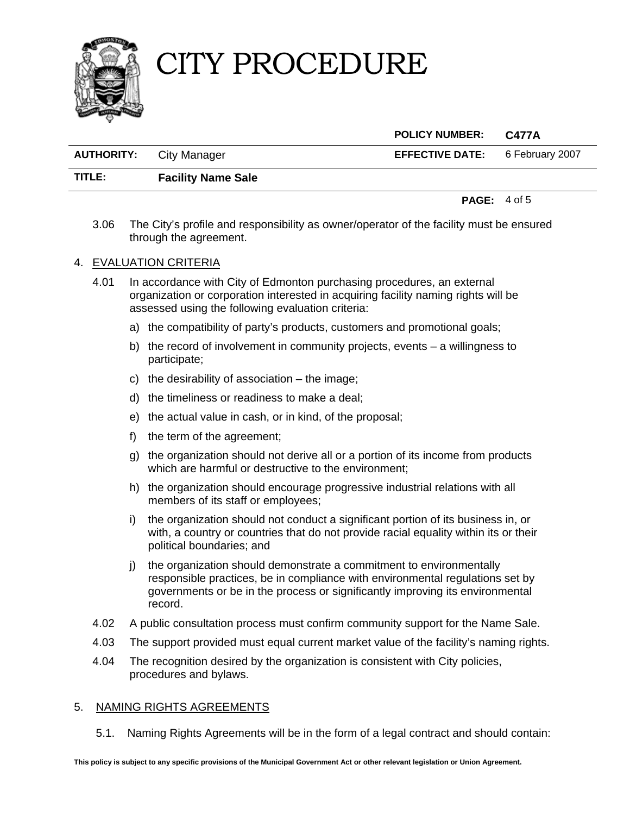

# CITY PROCEDURE

|        |                                | <b>POLICY NUMBER:</b>                  | C477A |
|--------|--------------------------------|----------------------------------------|-------|
|        | <b>AUTHORITY:</b> City Manager | <b>EFFECTIVE DATE:</b> 6 February 2007 |       |
| TITLE: | <b>Facility Name Sale</b>      |                                        |       |

**PAGE:** 4 of 5

3.06 The City's profile and responsibility as owner/operator of the facility must be ensured through the agreement.

### 4. EVALUATION CRITERIA

4.01 In accordance with City of Edmonton purchasing procedures, an external organization or corporation interested in acquiring facility naming rights will be assessed using the following evaluation criteria:

- a) the compatibility of party's products, customers and promotional goals;
- b) the record of involvement in community projects, events  $-$  a willingness to participate;
- c) the desirability of association the image;
- d) the timeliness or readiness to make a deal;
- e) the actual value in cash, or in kind, of the proposal;
- f) the term of the agreement;
- g) the organization should not derive all or a portion of its income from products which are harmful or destructive to the environment;
- h) the organization should encourage progressive industrial relations with all members of its staff or employees;
- i) the organization should not conduct a significant portion of its business in, or with, a country or countries that do not provide racial equality within its or their political boundaries; and
- j) the organization should demonstrate a commitment to environmentally responsible practices, be in compliance with environmental regulations set by governments or be in the process or significantly improving its environmental record.
- 4.02 A public consultation process must confirm community support for the Name Sale.
- 4.03 The support provided must equal current market value of the facility's naming rights.
- 4.04 The recognition desired by the organization is consistent with City policies, procedures and bylaws.

#### 5. NAMING RIGHTS AGREEMENTS

5.1. Naming Rights Agreements will be in the form of a legal contract and should contain: